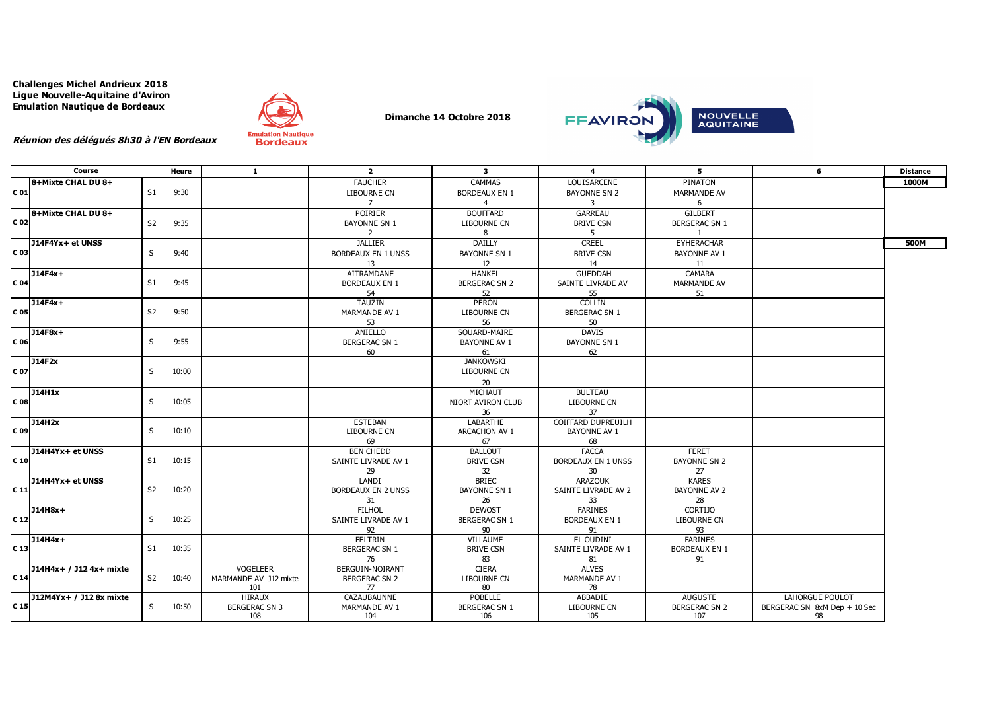**Challenges Michel Andrieux 2018 Ligue Nouvelle-Aquitaine d'Aviron Emulation Nautique de Bordeaux**



**Dimanche 14 Octobre 2018**



**Réunion des délégués 8h30 à l'EN Bordeaux**

|                 | Course                  |                | Heure | $\mathbf{1}$          | $\overline{2}$            | $\mathbf{3}$         | $\overline{4}$            | 5.                   | 6                            | <b>Distance</b> |
|-----------------|-------------------------|----------------|-------|-----------------------|---------------------------|----------------------|---------------------------|----------------------|------------------------------|-----------------|
|                 | 8+Mixte CHAL DU 8+      |                |       |                       | <b>FAUCHER</b>            | CAMMAS               | LOUISARCENE               | PINATON              |                              | 1000M           |
| C <sub>01</sub> |                         | S <sub>1</sub> | 9:30  |                       | LIBOURNE CN               | <b>BORDEAUX EN 1</b> | <b>BAYONNE SN 2</b>       | MARMANDE AV          |                              |                 |
|                 |                         |                |       |                       | $\overline{7}$            | $\overline{4}$       | $\overline{3}$            | 6                    |                              |                 |
|                 | 8+Mixte CHAL DU 8+      |                |       |                       | POIRIER                   | <b>BOUFFARD</b>      | <b>GARREAU</b>            | <b>GILBERT</b>       |                              |                 |
| C 02            |                         | S <sub>2</sub> | 9:35  |                       | <b>BAYONNE SN 1</b>       | LIBOURNE CN          | <b>BRIVE CSN</b>          | <b>BERGERAC SN 1</b> |                              |                 |
|                 |                         |                |       |                       | 2                         | 8                    | 5                         | $\mathbf{1}$         |                              |                 |
|                 |                         |                |       |                       | <b>JALLIER</b>            | DAILLY               | <b>CREEL</b>              | EYHERACHAR           |                              | 500M            |
| C 03            | J14F4Yx+ et UNSS        | S.             | 9:40  |                       |                           |                      |                           |                      |                              |                 |
|                 |                         |                |       |                       | <b>BORDEAUX EN 1 UNSS</b> | <b>BAYONNE SN 1</b>  | <b>BRIVE CSN</b>          | <b>BAYONNE AV 1</b>  |                              |                 |
|                 |                         |                |       |                       | 13                        | 12                   | 14                        | 11                   |                              |                 |
|                 | $J14F4x+$               |                | 9:45  |                       | AITRAMDANE                | <b>HANKEL</b>        | <b>GUEDDAH</b>            | CAMARA               |                              |                 |
| C 04            |                         | S <sub>1</sub> |       |                       | <b>BORDEAUX EN 1</b>      | <b>BERGERAC SN 2</b> | SAINTE LIVRADE AV         | <b>MARMANDE AV</b>   |                              |                 |
|                 |                         |                |       |                       | 54                        | 52                   | 55                        | 51                   |                              |                 |
|                 | $J14F4x+$               |                |       |                       | <b>TAUZIN</b>             | PERON                | <b>COLLIN</b>             |                      |                              |                 |
| C 05            |                         | S <sub>2</sub> | 9:50  |                       | MARMANDE AV 1             | <b>LIBOURNE CN</b>   | <b>BERGERAC SN 1</b>      |                      |                              |                 |
|                 |                         |                |       |                       | 53                        | 56                   | 50                        |                      |                              |                 |
|                 | J14F8x+                 |                | 9:55  |                       | ANIELLO                   | SOUARD-MAIRE         | <b>DAVIS</b>              |                      |                              |                 |
| C 06            |                         | S              |       |                       | <b>BERGERAC SN 1</b>      | <b>BAYONNE AV 1</b>  | <b>BAYONNE SN 1</b>       |                      |                              |                 |
|                 |                         |                |       |                       | 60                        | 61                   | 62                        |                      |                              |                 |
|                 | J14F2x                  |                |       |                       |                           | <b>JANKOWSKI</b>     |                           |                      |                              |                 |
| C 07            |                         | S              | 10:00 |                       |                           | LIBOURNE CN          |                           |                      |                              |                 |
|                 |                         |                |       |                       |                           | 20                   |                           |                      |                              |                 |
|                 | J14H1x                  |                |       |                       |                           | MICHAUT              | <b>BULTEAU</b>            |                      |                              |                 |
| C <sub>08</sub> |                         | S              | 10:05 |                       |                           | NIORT AVIRON CLUB    | LIBOURNE CN               |                      |                              |                 |
|                 |                         |                |       |                       |                           | 36                   | 37                        |                      |                              |                 |
|                 | J14H2x                  |                |       |                       | <b>ESTEBAN</b>            | LABARTHE             | COIFFARD DUPREUILH        |                      |                              |                 |
| C 09            |                         | S              | 10:10 |                       | <b>LIBOURNE CN</b>        | ARCACHON AV 1        | <b>BAYONNE AV 1</b>       |                      |                              |                 |
|                 |                         |                |       |                       | 69                        | 67                   | 68                        |                      |                              |                 |
|                 | J14H4Yx+ et UNSS        |                |       |                       | <b>BEN CHEDD</b>          | <b>BALLOUT</b>       | <b>FACCA</b>              | <b>FERET</b>         |                              |                 |
| C <sub>10</sub> |                         | S <sub>1</sub> | 10:15 |                       | SAINTE LIVRADE AV 1       | <b>BRIVE CSN</b>     | <b>BORDEAUX EN 1 UNSS</b> | <b>BAYONNE SN 2</b>  |                              |                 |
|                 |                         |                |       |                       | 29                        | 32                   | 30                        | 27                   |                              |                 |
|                 | J14H4Yx+ et UNSS        |                |       |                       | LANDI                     | <b>BRIEC</b>         | <b>ARAZOUK</b>            | <b>KARES</b>         |                              |                 |
| C <sub>11</sub> |                         | S <sub>2</sub> | 10:20 |                       | <b>BORDEAUX EN 2 UNSS</b> | <b>BAYONNE SN 1</b>  | SAINTE LIVRADE AV 2       | <b>BAYONNE AV 2</b>  |                              |                 |
|                 |                         |                |       |                       | 31                        | 26                   | 33                        | 28                   |                              |                 |
| C <sub>12</sub> | J14H8x+                 | S              | 10:25 |                       | <b>FILHOL</b>             | <b>DEWOST</b>        | <b>FARINES</b>            | <b>CORTIJO</b>       |                              |                 |
|                 |                         |                |       |                       | SAINTE LIVRADE AV 1       | <b>BERGERAC SN 1</b> | <b>BORDEAUX EN 1</b>      | <b>LIBOURNE CN</b>   |                              |                 |
|                 | J14H4x+                 |                |       |                       | 92<br><b>FELTRIN</b>      | 90<br>VILLAUME       | 91<br>EL OUDINI           | 93<br><b>FARINES</b> |                              |                 |
| C <sub>13</sub> |                         | S1             | 10:35 |                       | <b>BERGERAC SN 1</b>      | <b>BRIVE CSN</b>     | SAINTE LIVRADE AV 1       | <b>BORDEAUX EN 1</b> |                              |                 |
|                 |                         |                |       |                       | 76                        |                      |                           |                      |                              |                 |
|                 | J14H4x+ / J12 4x+ mixte |                |       | <b>VOGELEER</b>       | BERGUIN-NOIRANT           | 83<br><b>CIERA</b>   | 81<br><b>ALVES</b>        | 91                   |                              |                 |
| C <sub>14</sub> |                         | S <sub>2</sub> | 10:40 | MARMANDE AV J12 mixte | <b>BERGERAC SN 2</b>      | <b>LIBOURNE CN</b>   | MARMANDE AV 1             |                      |                              |                 |
|                 |                         |                |       | 101                   | 77                        | 80                   | 78                        |                      |                              |                 |
|                 | J12M4Yx+ / J12 8x mixte |                |       | <b>HIRAUX</b>         | CAZAUBAUNNE               | POBELLE              | ABBADIE                   | <b>AUGUSTE</b>       | LAHORGUE POULOT              |                 |
| C <sub>15</sub> |                         | S              | 10:50 | <b>BERGERAC SN 3</b>  | MARMANDE AV 1             | <b>BERGERAC SN 1</b> | <b>LIBOURNE CN</b>        | <b>BERGERAC SN 2</b> | BERGERAC SN 8xM Dep + 10 Sec |                 |
|                 |                         |                |       | 108                   | 104                       | 106                  | 105                       | 107                  | 98                           |                 |
|                 |                         |                |       |                       |                           |                      |                           |                      |                              |                 |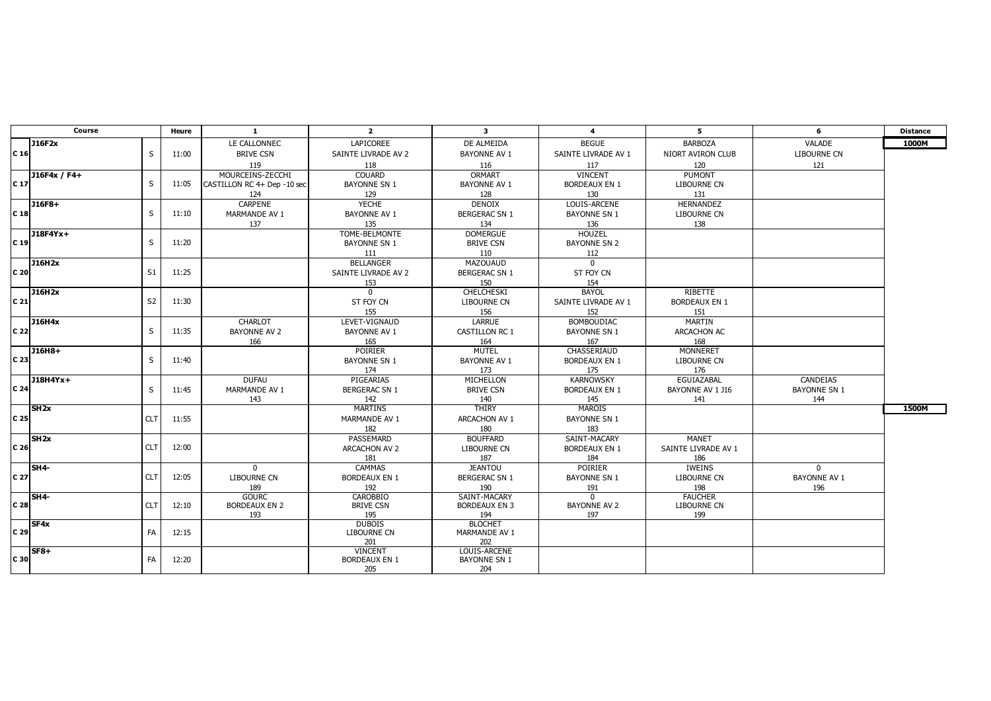| Course          |                   |                | Heure | $\blacksquare$              | $\overline{2}$                      | $\mathbf{3}$                    | $\overline{4}$          | 5                    | 6                   | <b>Distance</b> |
|-----------------|-------------------|----------------|-------|-----------------------------|-------------------------------------|---------------------------------|-------------------------|----------------------|---------------------|-----------------|
|                 | J16F2x            |                |       | LE CALLONNEC                | LAPICOREE                           | DE ALMEIDA                      | <b>BEGUE</b>            | <b>BARBOZA</b>       | VALADE              | 1000M           |
| C <sub>16</sub> |                   | S              | 11:00 | <b>BRIVE CSN</b>            | SAINTE LIVRADE AV 2                 | <b>BAYONNE AV 1</b>             | SAINTE LIVRADE AV 1     | NIORT AVIRON CLUB    | LIBOURNE CN         |                 |
|                 |                   |                |       | 119                         | 118                                 | 116                             | 117                     | 120                  | 121                 |                 |
|                 | J16F4x / F4+      |                |       | MOURCEINS-ZECCHI            | <b>COUARD</b>                       | ORMART                          | <b>VINCENT</b>          | <b>PUMONT</b>        |                     |                 |
| C <sub>17</sub> |                   | S              | 11:05 | CASTILLON RC 4+ Dep -10 sec | <b>BAYONNE SN 1</b>                 | <b>BAYONNE AV 1</b>             | <b>BORDEAUX EN 1</b>    | <b>LIBOURNE CN</b>   |                     |                 |
|                 |                   |                |       | 124                         | 129                                 | 128                             | 130                     | 131                  |                     |                 |
|                 | J16F8+            |                |       | CARPENE                     | <b>YECHE</b>                        | <b>DENOIX</b>                   | LOUIS-ARCENE            | HERNANDEZ            |                     |                 |
| C <sub>18</sub> |                   | S              | 11:10 | MARMANDE AV 1               | <b>BAYONNE AV 1</b>                 | <b>BERGERAC SN 1</b>            | <b>BAYONNE SN 1</b>     | LIBOURNE CN          |                     |                 |
|                 |                   |                |       | 137                         | 135                                 | 134                             | 136                     | 138                  |                     |                 |
|                 | J18F4Yx+          |                |       |                             | TOME-BELMONTE                       | <b>DOMERGUE</b>                 | <b>HOUZEL</b>           |                      |                     |                 |
| C <sub>19</sub> |                   | S              | 11:20 |                             | <b>BAYONNE SN 1</b>                 | <b>BRIVE CSN</b>                | <b>BAYONNE SN 2</b>     |                      |                     |                 |
|                 |                   |                |       |                             | 111                                 | 110                             | 112                     |                      |                     |                 |
|                 | J16H2x            |                |       |                             | <b>BELLANGER</b>                    | <b>MAZOUAUD</b>                 | $\Omega$                |                      |                     |                 |
| C 20            |                   | S1             | 11:25 |                             | SAINTE LIVRADE AV 2                 | <b>BERGERAC SN 1</b>            | ST FOY CN               |                      |                     |                 |
|                 |                   |                |       |                             | 153                                 | 150                             | 154                     |                      |                     |                 |
|                 | J16H2x            |                |       |                             | $\Omega$                            | CHELCHESKI                      | <b>BAYOL</b>            | <b>RIBETTE</b>       |                     |                 |
| C <sub>21</sub> |                   | S <sub>2</sub> | 11:30 |                             | ST FOY CN                           | <b>LIBOURNE CN</b>              | SAINTE LIVRADE AV 1     | <b>BORDEAUX EN 1</b> |                     |                 |
|                 |                   |                |       |                             | 155                                 | 156                             | 152                     | 151                  |                     |                 |
|                 | J16H4x            |                |       | <b>CHARLOT</b>              | LEVET-VIGNAUD                       | <b>LARRUE</b>                   | <b>BOMBOUDIAC</b>       | MARTIN               |                     |                 |
| C 22            |                   | S              | 11:35 | <b>BAYONNE AV 2</b>         | <b>BAYONNE AV 1</b>                 | <b>CASTILLON RC 1</b>           | <b>BAYONNE SN 1</b>     | <b>ARCACHON AC</b>   |                     |                 |
|                 |                   |                |       | 166                         | 165                                 | 164                             | 167                     | 168                  |                     |                 |
| C 23            | J16H8+            |                |       |                             | <b>POIRIER</b>                      | MUTEL                           | CHASSERIAUD             | <b>MONNERET</b>      |                     |                 |
|                 |                   | S              | 11:40 |                             | <b>BAYONNE SN 1</b>                 | <b>BAYONNE AV 1</b>             | <b>BORDEAUX EN 1</b>    | <b>LIBOURNE CN</b>   |                     |                 |
|                 | $J18H4Yx+$        |                |       | <b>DUFAU</b>                | 174<br>PIGEARIAS                    | 173<br>MICHELLON                | 175<br><b>KARNOWSKY</b> | 176<br>EGUIAZABAL    | CANDEIAS            |                 |
| C <sub>24</sub> |                   | S              | 11:45 | MARMANDE AV 1               | <b>BERGERAC SN 1</b>                | <b>BRIVE CSN</b>                | <b>BORDEAUX EN 1</b>    | BAYONNE AV 1 J16     | <b>BAYONNE SN 1</b> |                 |
|                 |                   |                |       | 143                         | 142                                 | 140                             | 145                     | 141                  | 144                 |                 |
|                 | SH <sub>2x</sub>  |                |       |                             | MARTINS                             | THIRY                           | MAROIS                  |                      |                     | 1500M           |
| C 25            |                   | <b>CLT</b>     | 11:55 |                             | MARMANDE AV 1                       | ARCACHON AV 1                   | <b>BAYONNE SN 1</b>     |                      |                     |                 |
|                 |                   |                |       |                             | 182                                 | 180                             | 183                     |                      |                     |                 |
|                 | SH2x              |                |       |                             | PASSEMARD                           | <b>BOUFFARD</b>                 | SAINT-MACARY            | <b>MANET</b>         |                     |                 |
| C <sub>26</sub> |                   | <b>CLT</b>     | 12:00 |                             | ARCACHON AV 2                       | <b>LIBOURNE CN</b>              | <b>BORDEAUX EN 1</b>    | SAINTE LIVRADE AV 1  |                     |                 |
|                 |                   |                |       |                             | 181                                 | 187                             | 184                     | 186                  |                     |                 |
|                 | SH4-              |                |       | $\Omega$                    | CAMMAS                              | <b>JEANTOU</b>                  | POIRIER                 | IWEINS               | $\mathbf{0}$        |                 |
| C <sub>27</sub> |                   | <b>CLT</b>     | 12:05 | LIBOURNE CN                 | <b>BORDEAUX EN 1</b>                | <b>BERGERAC SN 1</b>            | <b>BAYONNE SN 1</b>     | <b>LIBOURNE CN</b>   | <b>BAYONNE AV 1</b> |                 |
|                 |                   |                |       | 189                         | 192                                 | 190                             | 191                     | 198                  | 196                 |                 |
|                 | SH <sub>4</sub> - |                |       | <b>GOURC</b>                | CAROBBIO                            | SAINT-MACARY                    | $\Omega$                | <b>FAUCHER</b>       |                     |                 |
| C 28            |                   | <b>CLT</b>     | 12:10 | <b>BORDEAUX EN 2</b>        | <b>BRIVE CSN</b>                    | <b>BORDEAUX EN 3</b>            | BAYONNE AV 2            | <b>LIBOURNE CN</b>   |                     |                 |
|                 |                   |                |       | 193                         | 195                                 | 194                             | 197                     | 199                  |                     |                 |
| C <sub>29</sub> | SF4x              | FA             | 12:15 |                             | <b>DUBOIS</b><br><b>LIBOURNE CN</b> | <b>BLOCHET</b><br>MARMANDE AV 1 |                         |                      |                     |                 |
|                 |                   |                |       |                             | 201                                 | 202                             |                         |                      |                     |                 |
|                 | $SFB+$            |                |       |                             | <b>VINCENT</b>                      | LOUIS-ARCENE                    |                         |                      |                     |                 |
| C 30            |                   | <b>FA</b>      | 12:20 |                             | <b>BORDEAUX EN 1</b>                | <b>BAYONNE SN 1</b>             |                         |                      |                     |                 |
|                 |                   |                |       |                             | 205                                 | 204                             |                         |                      |                     |                 |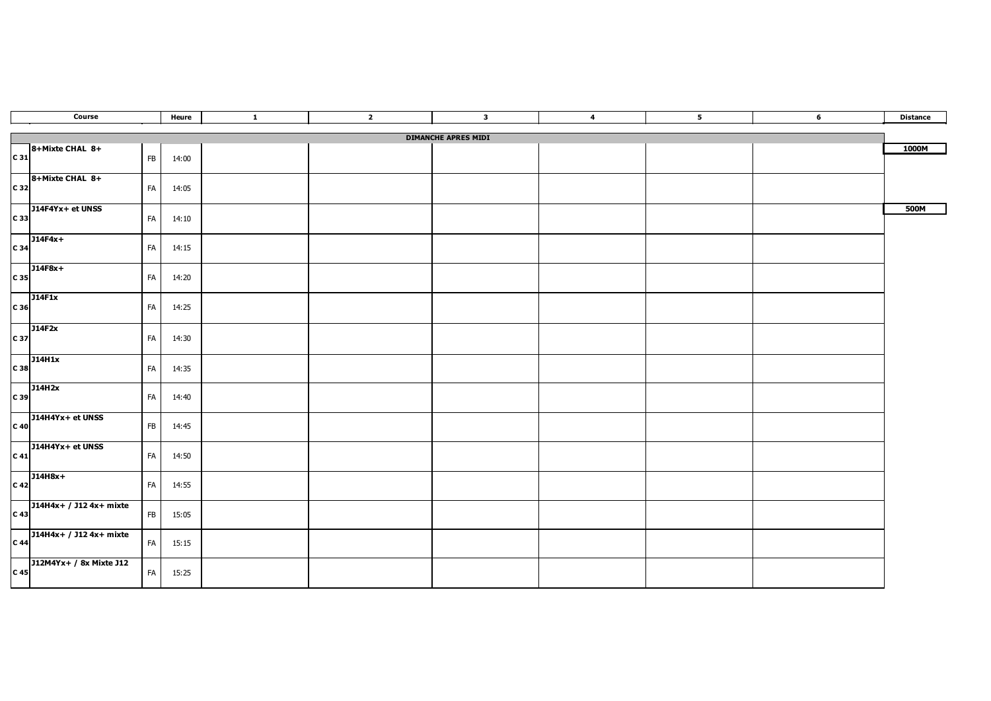| Course          |                                                                                                                 |    | Heure | $\blacksquare$ | $\overline{2}$ | $\overline{\mathbf{3}}$ | $\overline{4}$ | 5 <sub>5</sub> | $6\overline{6}$ | <b>Distance</b> |  |
|-----------------|-----------------------------------------------------------------------------------------------------------------|----|-------|----------------|----------------|-------------------------|----------------|----------------|-----------------|-----------------|--|
|                 | <b>DIMANCHE APRES MIDI</b>                                                                                      |    |       |                |                |                         |                |                |                 |                 |  |
|                 | 8+Mixte CHAL 8+                                                                                                 |    |       |                |                |                         |                |                |                 | 1000M           |  |
| $C_31$          |                                                                                                                 | FB | 14:00 |                |                |                         |                |                |                 |                 |  |
|                 |                                                                                                                 |    |       |                |                |                         |                |                |                 |                 |  |
|                 | $8+Mixte CHAL 8+$                                                                                               | FA | 14:05 |                |                |                         |                |                |                 |                 |  |
|                 |                                                                                                                 |    |       |                |                |                         |                |                |                 | 500M            |  |
|                 | $\begin{array}{c c}\n\hline\n\end{array}$ J14F4Yx+ et UNSS                                                      | FA | 14:10 |                |                |                         |                |                |                 |                 |  |
|                 | $J14F4x+$                                                                                                       |    |       |                |                |                         |                |                |                 |                 |  |
| $C_34$          |                                                                                                                 | FA | 14:15 |                |                |                         |                |                |                 |                 |  |
|                 | $\overline{)114F8x+$                                                                                            | FA | 14:20 |                |                |                         |                |                |                 |                 |  |
|                 |                                                                                                                 |    |       |                |                |                         |                |                |                 |                 |  |
|                 | J14F1x                                                                                                          | FA | 14:25 |                |                |                         |                |                |                 |                 |  |
| $C_36$          |                                                                                                                 |    |       |                |                |                         |                |                |                 |                 |  |
| C 37            | J14F2x                                                                                                          | FA | 14:30 |                |                |                         |                |                |                 |                 |  |
|                 |                                                                                                                 |    |       |                |                |                         |                |                |                 |                 |  |
|                 | $\begin{array}{c c} \hline \text{J14H1x} \ \text{C} & \text{38} \end{array}$                                    | FA | 14:35 |                |                |                         |                |                |                 |                 |  |
|                 |                                                                                                                 |    |       |                |                |                         |                |                |                 |                 |  |
| C 39            | J14H2x                                                                                                          | FA | 14:40 |                |                |                         |                |                |                 |                 |  |
|                 |                                                                                                                 |    |       |                |                |                         |                |                |                 |                 |  |
| $C$ 40          | $J14H4Yx + et UNSS$                                                                                             | FB | 14:45 |                |                |                         |                |                |                 |                 |  |
|                 |                                                                                                                 |    |       |                |                |                         |                |                |                 |                 |  |
|                 | $J14H4Yx + et UNSS$                                                                                             | FA | 14:50 |                |                |                         |                |                |                 |                 |  |
|                 |                                                                                                                 |    |       |                |                |                         |                |                |                 |                 |  |
|                 | $C 42$ J14H8x+                                                                                                  | FA | 14:55 |                |                |                         |                |                |                 |                 |  |
|                 |                                                                                                                 |    |       |                |                |                         |                |                |                 |                 |  |
|                 | $\begin{array}{ c c c }\n\hline\n\text{J14H4x+ } / \text{ J12 4x+ mixture} \\ \hline\n\text{C 43}\n\end{array}$ | FB | 15:05 |                |                |                         |                |                |                 |                 |  |
|                 | $C = 44$ J14H4x+ / J12 4x+ mixte                                                                                |    |       |                |                |                         |                |                |                 |                 |  |
|                 |                                                                                                                 | FA | 15:15 |                |                |                         |                |                |                 |                 |  |
|                 | J12M4Yx+ / 8x Mixte J12                                                                                         |    |       |                |                |                         |                |                |                 |                 |  |
| C <sub>45</sub> |                                                                                                                 | FA | 15:25 |                |                |                         |                |                |                 |                 |  |
|                 |                                                                                                                 |    |       |                |                |                         |                |                |                 |                 |  |